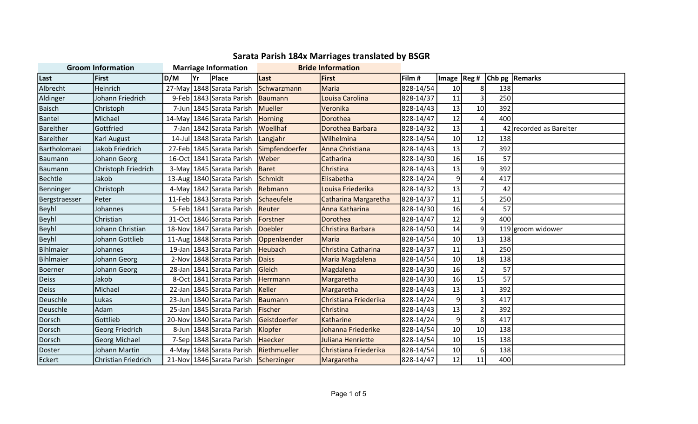| <b>Groom Information</b> |                     | <b>Marriage Information</b> |      |                                       | <b>Bride Information</b> |                       |           |                |                 |     |                      |
|--------------------------|---------------------|-----------------------------|------|---------------------------------------|--------------------------|-----------------------|-----------|----------------|-----------------|-----|----------------------|
| Last                     | <b>First</b>        | D/M                         | lYr. | <b>Place</b>                          | Last                     | First                 | Film #    | Image   $Reg#$ |                 |     | Chb pg   Remarks     |
| Albrecht                 | Heinrich            |                             |      | 27-May 1848 Sarata Parish             | Schwarzmann              | Maria                 | 828-14/54 | 10             | 8 <sup>2</sup>  | 138 |                      |
| Aldinger                 | Johann Friedrich    |                             |      | 9-Feb 1843 Sarata Parish              | Baumann                  | Louisa Carolina       | 828-14/37 | 11             | 3               | 250 |                      |
| Baisch                   | Christoph           |                             |      | 7-Jun 1845 Sarata Parish              | Mueller                  | Veronika              | 828-14/43 | 13             | 10 <sup>1</sup> | 392 |                      |
| Bantel                   | Michael             |                             |      | 14-May 1846 Sarata Parish             | Horning                  | Dorothea              | 828-14/47 | 12             | 4               | 400 |                      |
| Bareither                | Gottfried           |                             |      | 7-Jan 1842 Sarata Parish              | Woellhaf                 | Dorothea Barbara      | 828-14/32 | 13             | $\mathbf{1}$    | 42  | recorded as Bareiter |
| Bareither                | Karl August         |                             |      | 14-Jul 1848 Sarata Parish             | Langjahr                 | Wilhelmina            | 828-14/54 | 10             | 12              | 138 |                      |
| Bartholomaei             | Jakob Friedrich     |                             |      | 27-Feb 1845 Sarata Parish             | Simpfendoerfer           | Anna Christiana       | 828-14/43 | 13             | $\overline{7}$  | 392 |                      |
| <b>Baumann</b>           | Johann Georg        |                             |      | 16-Oct 1841 Sarata Parish             | <b>Weber</b>             | Catharina             | 828-14/30 | 16             | 16              | 57  |                      |
| Baumann                  | Christoph Friedrich |                             |      | 3-May 1845 Sarata Parish              | Baret                    | Christina             | 828-14/43 | 13             | $\vert 9 \vert$ | 392 |                      |
| Bechtle                  | Jakob               |                             |      | 13-Aug 1840 Sarata Parish             | Schmidt                  | Elisabetha            | 828-14/24 | 9              | $\overline{4}$  | 417 |                      |
| Benninger                | Christoph           |                             |      | 4-May 1842 Sarata Parish              | Rebmann                  | Louisa Friederika     | 828-14/32 | 13             | $\overline{7}$  | 42  |                      |
| Bergstraesser            | <b>Peter</b>        |                             |      | 11-Feb 1843 Sarata Parish             | Schaeufele               | Catharina Margaretha  | 828-14/37 | 11             | 5               | 250 |                      |
| Beyhl                    | Johannes            |                             |      | 5-Feb 1841 Sarata Parish              | Reuter                   | Anna Katharina        | 828-14/30 | 16             | 4               | 57  |                      |
| Beyhl                    | Christian           |                             |      | 31-Oct 1846 Sarata Parish             | <b>IForstner</b>         | Dorothea              | 828-14/47 | 12             | 9               | 400 |                      |
| Beyhl                    | Johann Christian    |                             |      | 18-Nov 1847 Sarata Parish             | Doebler                  | Christina Barbara     | 828-14/50 | 14             | 9               |     | 119 groom widower    |
| <b>Beyhl</b>             | Johann Gottlieb     |                             |      | 11-Aug 1848 Sarata Parish             | Oppenlaender             | <b>Maria</b>          | 828-14/54 | 10             | 13              | 138 |                      |
| Bihlmaier                | Johannes            |                             |      | 19-Jan 1843 Sarata Parish             | Heubach                  | Christina Catharina   | 828-14/37 | 11             | $\mathbf{1}$    | 250 |                      |
| Bihlmaier                | Johann Georg        |                             |      | 2-Nov 1848 Sarata Parish              | Daiss                    | Maria Magdalena       | 828-14/54 | 10             | 18              | 138 |                      |
| Boerner                  | Johann Georg        |                             |      | 28-Jan 1841 Sarata Parish             | Gleich                   | Magdalena             | 828-14/30 | 16             | $\overline{2}$  | 57  |                      |
| Deiss                    | Jakob               |                             |      | 8-Oct 1841 Sarata Parish              | Herrmann                 | Margaretha            | 828-14/30 | 16             | 15              | 57  |                      |
| <b>Deiss</b>             | Michael             |                             |      | 22-Jan 1845 Sarata Parish             | Keller                   | Margaretha            | 828-14/43 | 13             | $\mathbf{1}$    | 392 |                      |
| Deuschle                 | Lukas               |                             |      | 23-Jun 1840 Sarata Parish             | <b>Baumann</b>           | Christiana Friederika | 828-14/24 | 9              | 3               | 417 |                      |
| Deuschle                 | Adam                |                             |      | 25-Jan 1845 Sarata Parish             | Fischer                  | Christina             | 828-14/43 | 13             | $\overline{2}$  | 392 |                      |
| Dorsch                   | Gottlieb            |                             |      | 20-Nov 1840 Sarata Parish             | Geistdoerfer             | <b>Katharine</b>      | 828-14/24 | 9              | 8               | 417 |                      |
| Dorsch                   | Georg Friedrich     |                             |      | 8-Jun 1848 Sarata Parish              | Klopfer                  | Johanna Friederike    | 828-14/54 | 10             | 10 <sup>1</sup> | 138 |                      |
| Dorsch                   | Georg Michael       |                             |      | 7-Sep 1848 Sarata Parish              | Haecker                  | Juliana Henriette     | 828-14/54 | 10             | 15              | 138 |                      |
| Doster                   | Johann Martin       |                             |      | 4-May 1848 Sarata Parish              | Riethmueller             | Christiana Friederika | 828-14/54 | 10             | 6               | 138 |                      |
| Eckert                   | Christian Friedrich |                             |      | 21-Nov 1846 Sarata Parish Scherzinger |                          | Margaretha            | 828-14/47 | 12             | 11              | 400 |                      |

## Sarata Parish 184x Marriages translated by BSGR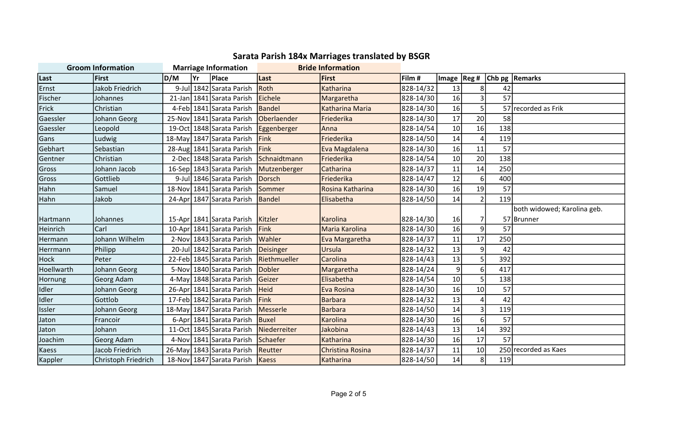| <b>Sarata Parish 184x Marriages translated by BSGR</b> |  |
|--------------------------------------------------------|--|
|--------------------------------------------------------|--|

| <b>Groom Information</b> |                     | <b>Marriage Information</b> |    |                                       | <b>Bride Information</b> |                         |           |                 |                  |     |                                  |
|--------------------------|---------------------|-----------------------------|----|---------------------------------------|--------------------------|-------------------------|-----------|-----------------|------------------|-----|----------------------------------|
| Last                     | <b>First</b>        | D/M                         | Yr | Place                                 | Last                     | <b>First</b>            | Film #    |                 |                  |     | Image   Reg #   Chb pg   Remarks |
| Ernst                    | Jakob Friedrich     | $9$ -Jul                    |    | 1842 Sarata Parish                    | Roth                     | Katharina               | 828-14/32 | 13              | 8                | 42  |                                  |
| Fischer                  | Johannes            | $21$ -Jan                   |    | 1841 Sarata Parish                    | Eichele                  | Margaretha              | 828-14/30 | 16              | 3                | 57  |                                  |
| Frick                    | Christian           |                             |    | 4-Feb 1841 Sarata Parish              | Bandel                   | Katharina Maria         | 828-14/30 | 16              | 5                |     | 57 recorded as Frik              |
| Gaessler                 | Johann Georg        | $25-Nov$                    |    | 1841 Sarata Parish                    | Oberlaender              | Friederika              | 828-14/30 | 17              | 20               | 58  |                                  |
| Gaessler                 | Leopold             |                             |    | 19-Oct 1848 Sarata Parish Eggenberger |                          | Anna                    | 828-14/54 | 10 <sup>1</sup> | 16               | 138 |                                  |
| Gans                     | Ludwig              | $18$ -May                   |    | 1847 Sarata Parish                    | Fink                     | Friederika              | 828-14/50 | 14              | $\overline{4}$   | 119 |                                  |
| Gebhart                  | Sebastian           |                             |    | 28-Aug 1841 Sarata Parish             | Fink                     | Eva Magdalena           | 828-14/30 | 16              | 11               | 57  |                                  |
| Gentner                  | Christian           |                             |    | 2-Dec 1848 Sarata Parish Schnaidtmann |                          | Friederika              | 828-14/54 | 10 <sup>1</sup> | 20               | 138 |                                  |
| Gross                    | Johann Jacob        |                             |    | 16-Sep 1843 Sarata Parish             | Mutzenberger             | Catharina               | 828-14/37 | 11              | 14               | 250 |                                  |
| Gross                    | Gottlieb            |                             |    | 9-Jul 1846 Sarata Parish              | Dorsch                   | Friederika              | 828-14/47 | 12              | 6                | 400 |                                  |
| Hahn                     | Samuel              | 18-Nov                      |    | 1841 Sarata Parish                    | Sommer                   | Rosina Katharina        | 828-14/30 | 16              | 19               | 57  |                                  |
| Hahn                     | Jakob               | $24-Apr$                    |    | 1847 Sarata Parish                    | Bandel                   | Elisabetha              | 828-14/50 | 14              | $\overline{2}$   | 119 |                                  |
|                          |                     |                             |    |                                       |                          |                         |           |                 |                  |     | both widowed; Karolina geb.      |
| Hartmann                 | Johannes            |                             |    | 15-Apr 1841 Sarata Parish             | <b>Kitzler</b>           | Karolina                | 828-14/30 | 16              | 7                |     | 57 Brunner                       |
| Heinrich                 | Carl                |                             |    | 10-Apr 1841 Sarata Parish             | Fink                     | Maria Karolina          | 828-14/30 | 16              | $\boldsymbol{9}$ | 57  |                                  |
| Hermann                  | Johann Wilhelm      |                             |    | 2-Nov 1843 Sarata Parish              | Wahler                   | Eva Margaretha          | 828-14/37 | 11              | 17               | 250 |                                  |
| Herrmann                 | Philipp             |                             |    | 20-Jul 1842 Sarata Parish             | Deisinger                | Ursula                  | 828-14/32 | 13              | 9                | 42  |                                  |
| <b>Hock</b>              | Peter               |                             |    | 22-Feb 1845 Sarata Parish             | Riethmueller             | Carolina                | 828-14/43 | 13              | 5                | 392 |                                  |
| Hoellwarth               | Johann Georg        |                             |    | 5-Nov 1840 Sarata Parish              | Dobler                   | Margaretha              | 828-14/24 | 9               | 6                | 417 |                                  |
| Hornung                  | Georg Adam          | 4-May                       |    | 1848 Sarata Parish                    | Geizer                   | Elisabetha              | 828-14/54 | 10 <sup>1</sup> | 5                | 138 |                                  |
| Idler                    | Johann Georg        |                             |    | 26-Apr 1841 Sarata Parish Heid        |                          | Eva Rosina              | 828-14/30 | 16              | 10               | 57  |                                  |
| Idler                    | Gottlob             |                             |    | 17-Feb 1842 Sarata Parish             | Fink                     | <b>Barbara</b>          | 828-14/32 | 13              | $\overline{a}$   | 42  |                                  |
| Issler                   | Johann Georg        |                             |    | 18-May 1847 Sarata Parish             | Messerle                 | <b>Barbara</b>          | 828-14/50 | 14              | 3                | 119 |                                  |
| Jaton                    | Francoir            |                             |    | 6-Apr 1841 Sarata Parish              | <b>Buxel</b>             | Karolina                | 828-14/30 | 16              | 6                | 57  |                                  |
| Jaton                    | Johann              |                             |    | 11-Oct 1845 Sarata Parish             | Niederreiter             | Jakobina                | 828-14/43 | 13              | 14               | 392 |                                  |
| Joachim                  | <b>Georg Adam</b>   |                             |    | 4-Nov 1841 Sarata Parish              | Schaefer                 | Katharina               | 828-14/30 | 16              | 17               | 57  |                                  |
| Kaess                    | Jacob Friedrich     |                             |    | 26-May 1843 Sarata Parish             | Reutter                  | <b>Christina Rosina</b> | 828-14/37 | 11              | 10               |     | 250 recorded as Kaes             |
| Kappler                  | Christoph Friedrich |                             |    | 18-Nov 1847 Sarata Parish             | Kaess                    | Katharina               | 828-14/50 | 14              | 8                | 119 |                                  |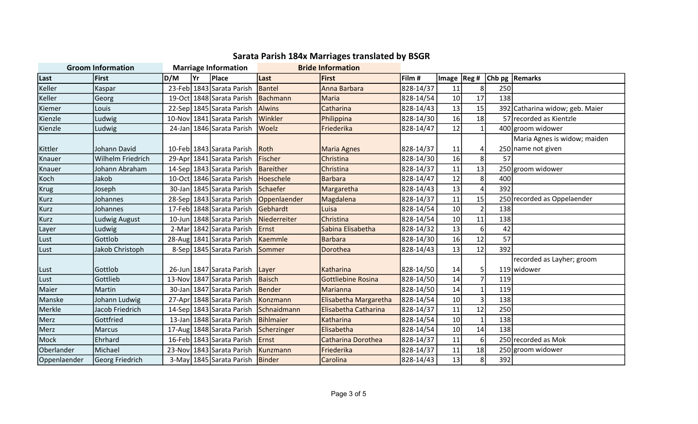| <b>Sarata Parish 184x Marriages translated by BSGR</b> |  |
|--------------------------------------------------------|--|
|--------------------------------------------------------|--|

| <b>Groom Information</b> |                   | <b>Marriage Information</b> |     |                                     | <b>Bride Information</b>                 |                           |           |              |                   |     |                                 |
|--------------------------|-------------------|-----------------------------|-----|-------------------------------------|------------------------------------------|---------------------------|-----------|--------------|-------------------|-----|---------------------------------|
| Last                     | <b>First</b>      | D/M                         | lYr | Place                               | Last                                     | <b>First</b>              | Film #    | Image  Reg # |                   |     | Chb pg   Remarks                |
| Keller                   | Kaspar            |                             |     | 23-Feb 1843 Sarata Parish           | Bantel                                   | Anna Barbara              | 828-14/37 | 11           | 8 <sup>1</sup>    | 250 |                                 |
| Keller                   | Georg             |                             |     | 19-Oct 1848 Sarata Parish           | Bachmann                                 | Maria                     | 828-14/54 | 10           | 17                | 138 |                                 |
| Kiemer                   | Louis             |                             |     | 22-Sep 1845 Sarata Parish           | <b>Alwins</b>                            | Catharina                 | 828-14/43 | 13           | 15                |     | 392 Catharina widow; geb. Maier |
| Kienzle                  | Ludwig            |                             |     | 10-Nov 1841 Sarata Parish           | Winkler                                  | Philippina                | 828-14/30 | 16           | 18                |     | 57 recorded as Kientzle         |
| Kienzle                  | Ludwig            | 24-Jan                      |     | 1846 Sarata Parish Woelz            |                                          | Friederika                | 828-14/47 | 12           | $\mathbf{1}$      |     | 400 groom widower               |
|                          |                   |                             |     |                                     |                                          |                           |           |              |                   |     | Maria Agnes is widow; maiden    |
| Kittler                  | Johann David      |                             |     | 10-Feb 1843 Sarata Parish Roth      |                                          | <b>Maria Agnes</b>        | 828-14/37 | 11           | 4                 |     | 250 name not given              |
| Knauer                   | Wilhelm Friedrich |                             |     | 29-Apr 1841 Sarata Parish           | Fischer                                  | Christina                 | 828-14/30 | 16           | $\lvert 8 \rvert$ | 57  |                                 |
| Knauer                   | Johann Abraham    |                             |     | 14-Sep 1843 Sarata Parish Bareither |                                          | Christina                 | 828-14/37 | 11           | 13                |     | 250 groom widower               |
| Koch                     | Jakob             |                             |     | 10-Oct 1846 Sarata Parish Hoeschele |                                          | Barbara                   | 828-14/47 | 12           | 8 <sup>1</sup>    | 400 |                                 |
| Krug                     | Joseph            |                             |     | 30-Jan 1845 Sarata Parish Schaefer  |                                          | Margaretha                | 828-14/43 | 13           | $\overline{4}$    | 392 |                                 |
| <b>Kurz</b>              | Johannes          |                             |     |                                     | 28-Sep 1843 Sarata Parish   Oppenlaender | Magdalena                 | 828-14/37 | 11           | 15                |     | 250 recorded as Oppelaender     |
| <b>Kurz</b>              | Johannes          |                             |     | 17-Feb 1848 Sarata Parish           | Gebhardt                                 | Luisa                     | 828-14/54 | 10           | $\overline{2}$    | 138 |                                 |
| Kurz                     | Ludwig August     |                             |     | 10-Jun 1848 Sarata Parish           | Niederreiter                             | Christina                 | 828-14/54 | 10           | 11                | 138 |                                 |
| Layer                    | Ludwig            | 2-Mar                       |     | 1842 Sarata Parish                  | Ernst                                    | Sabina Elisabetha         | 828-14/32 | 13           | $6 \mid$          | 42  |                                 |
| Lust                     | Gottlob           |                             |     | 28-Aug 1841 Sarata Parish           | Kaemmle                                  | Barbara                   | 828-14/30 | 16           | 12                | 57  |                                 |
| Lust                     | Jakob Christoph   |                             |     | 8-Sep 1845 Sarata Parish            | <b>Sommer</b>                            | Dorothea                  | 828-14/43 | 13           | 12                | 392 |                                 |
|                          |                   |                             |     |                                     |                                          |                           |           |              |                   |     | recorded as Layher; groom       |
| Lust                     | Gottlob           |                             |     | 26-Jun 1847 Sarata Parish   Layer   |                                          | Katharina                 | 828-14/50 | 14           | 5 <sup>1</sup>    |     | 119 widower                     |
| Lust                     | Gottlieb          |                             |     | 13-Nov 1847 Sarata Parish           | Baisch                                   | <b>Gottliebine Rosina</b> | 828-14/50 | 14           | $\overline{7}$    | 119 |                                 |
| Maier                    | Martin            |                             |     | 30-Jan 1847 Sarata Parish           | Bender                                   | <b>Marianna</b>           | 828-14/50 | 14           | $1\vert$          | 119 |                                 |
| Manske                   | Johann Ludwig     |                             |     | 27-Apr 1848 Sarata Parish           | Konzmann                                 | Elisabetha Margaretha     | 828-14/54 | 10           | $\vert$ 3         | 138 |                                 |
| Merkle                   | Jacob Friedrich   |                             |     | 14-Sep 1843 Sarata Parish           | Schnaidmann                              | Elisabetha Catharina      | 828-14/37 | 11           | 12                | 250 |                                 |
| Merz                     | Gottfried         |                             |     | 13-Jan 1848 Sarata Parish           | Bihlmaier                                | <b>Katharina</b>          | 828-14/54 | 10           | $\mathbf{1}$      | 138 |                                 |
| Merz                     | <b>Marcus</b>     |                             |     | 17-Aug 1848 Sarata Parish           | Scherzinger                              | <b>IElisabetha</b>        | 828-14/54 | 10           | 14                | 138 |                                 |
| Mock                     | Ehrhard           |                             |     | 16-Feb 1843 Sarata Parish           | Ernst                                    | Catharina Dorothea        | 828-14/37 | 11           | 6 <sup>1</sup>    |     | 250 recorded as Mok             |
| Oberlander               | Michael           |                             |     | 23-Nov 1843 Sarata Parish           | Kunzmann                                 | Friederika                | 828-14/37 | 11           | 18                |     | 250 groom widower               |
| Oppenlaender             | Georg Friedrich   |                             |     | 3-May 1845 Sarata Parish Binder     |                                          | Carolina                  | 828-14/43 | 13           | 8 <sup>1</sup>    | 392 |                                 |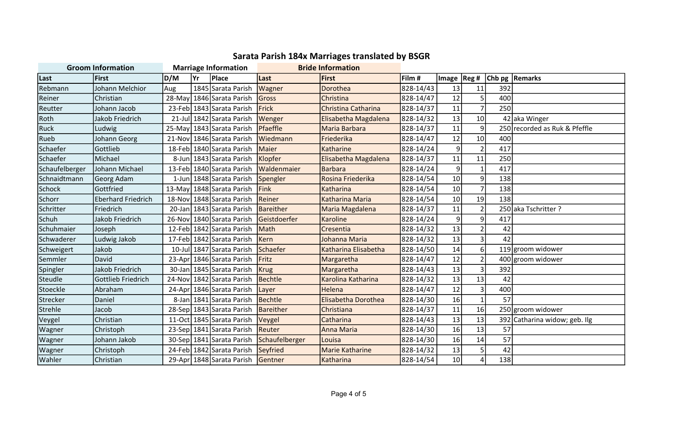| <b>Groom Information</b> |                           | <b>Marriage Information</b> |      |                                   | <b>Bride Information</b> |                        |           |                 |                |     |                               |
|--------------------------|---------------------------|-----------------------------|------|-----------------------------------|--------------------------|------------------------|-----------|-----------------|----------------|-----|-------------------------------|
| Last                     | First                     | D/M                         | lYr. | <b>Place</b>                      | Last                     | First                  | Film #    | Image  Reg #    |                |     | Chb pg   Remarks              |
| Rebmann                  | Johann Melchior           | Aug                         |      | 1845 Sarata Parish                | Wagner                   | Dorothea               | 828-14/43 | 13              | 11             | 392 |                               |
| Reiner                   | Christian                 |                             |      | 28-May 1846 Sarata Parish         | Gross                    | Christina              | 828-14/47 | 12              | 5              | 400 |                               |
| Reutter                  | Johann Jacob              |                             |      | 23-Feb 1843 Sarata Parish         | Frick                    | Christina Catharina    | 828-14/37 | 11              | $\overline{7}$ | 250 |                               |
| Roth                     | <b>Jakob Friedrich</b>    |                             |      | 21-Jul 1842 Sarata Parish         | Wenger                   | Elisabetha Magdalena   | 828-14/32 | 13              | 10             |     | 42 aka Winger                 |
| Ruck                     | Ludwig                    |                             |      | 25-May 1843 Sarata Parish         | Pfaeffle                 | Maria Barbara          | 828-14/37 | 11              | 9              |     | 250 recorded as Ruk & Pfeffle |
| Rueb                     | Johann Georg              |                             |      | 21-Nov 1846 Sarata Parish         | Wiedmann                 | Friederika             | 828-14/47 | 12              | 10             | 400 |                               |
| Schaefer                 | Gottlieb                  |                             |      | 18-Feb 1840 Sarata Parish         | Maier                    | Katharine              | 828-14/24 | 9               | $\overline{2}$ | 417 |                               |
| Schaefer                 | Michael                   |                             |      | 8-Jun 1843 Sarata Parish          | Klopfer                  | Elisabetha Magdalena   | 828-14/37 | 11              | 11             | 250 |                               |
| Schaufelberger           | Johann Michael            |                             |      | 13-Feb 1840 Sarata Parish         | Waldenmaier              | <b>Barbara</b>         | 828-14/24 | 9               | $\mathbf{1}$   | 417 |                               |
| Schnaidtmann             | Georg Adam                |                             |      | 1-Jun 1848 Sarata Parish          | Spengler                 | Rosina Friederika      | 828-14/54 | 10              | 9              | 138 |                               |
| Schock                   | Gottfried                 |                             |      | 13-May 1848 Sarata Parish         | Fink                     | Katharina              | 828-14/54 | 10              | $\overline{7}$ | 138 |                               |
| Schorr                   | <b>Eberhard Friedrich</b> |                             |      | 18-Nov 1848 Sarata Parish         | Reiner                   | Katharina Maria        | 828-14/54 | 10              | 19             | 138 |                               |
| Schritter                | Friedrich                 |                             |      | 20-Jan 1843 Sarata Parish         | Bareither                | Maria Magdalena        | 828-14/37 | 11              | $\overline{2}$ |     | 250 aka Tschritter ?          |
| Schuh                    | Jakob Friedrich           |                             |      | 26-Nov 1840 Sarata Parish         | Geistdoerfer             | Karoline               | 828-14/24 | 9               | 9              | 417 |                               |
| Schuhmaier               | Joseph                    |                             |      | 12-Feb 1842 Sarata Parish         | Math                     | Cresentia              | 828-14/32 | 13              | $\overline{2}$ | 42  |                               |
| Schwaderer               | Ludwig Jakob              |                             |      | 17-Feb 1842 Sarata Parish         | <b>Kern</b>              | Johanna Maria          | 828-14/32 | 13              | $\overline{3}$ | 42  |                               |
| Schweigert               | Jakob                     |                             |      | 10-Jul 1847 Sarata Parish         | Schaefer                 | Katharina Elisabetha   | 828-14/50 | 14              | 6              |     | 119 groom widower             |
| Semmler                  | David                     |                             |      | 23-Apr 1846 Sarata Parish         | Fritz                    | Margaretha             | 828-14/47 | 12              | $\overline{2}$ |     | 400 groom widower             |
| Spingler                 | <b>Jakob Friedrich</b>    |                             |      | 30-Jan 1845 Sarata Parish         | <b>Krug</b>              | Margaretha             | 828-14/43 | 13              | $\overline{3}$ | 392 |                               |
| Steudle                  | Gottlieb Friedrich        |                             |      | 24-Nov 1842 Sarata Parish         | Bechtle                  | Karolina Katharina     | 828-14/32 | 13              | 13             | 42  |                               |
| Stoeckle                 | Abraham                   |                             |      | 24-Apr 1846 Sarata Parish         | Layer                    | Helena                 | 828-14/47 | 12              | $\overline{3}$ | 400 |                               |
| Strecker                 | Daniel                    |                             |      | 8-Jan 1841 Sarata Parish          | <b>Bechtle</b>           | Elisabetha Dorothea    | 828-14/30 | 16              | $\mathbf{1}$   | 57  |                               |
| Strehle                  | Jacob                     |                             |      | 28-Sep 1843 Sarata Parish         | Bareither                | Christiana             | 828-14/37 | 11              | 16             |     | 250 groom widower             |
| Veygel                   | Christian                 |                             |      | 11-Oct 1845 Sarata Parish         | Veygel                   | Catharina              | 828-14/43 | 13              | 13             | 392 | Catharina widow; geb. Ilg     |
| Wagner                   | Christoph                 |                             |      | 23-Sep 1841 Sarata Parish         | Reuter                   | Anna Maria             | 828-14/30 | 16              | 13             | 57  |                               |
| Wagner                   | Johann Jakob              |                             |      | 30-Sep 1841 Sarata Parish         | Schaufelberger           | Louisa                 | 828-14/30 | 16              | 14             | 57  |                               |
| Wagner                   | Christoph                 |                             |      | 24-Feb 1842 Sarata Parish         | Seyfried                 | <b>Marie Katharine</b> | 828-14/32 | 13              | 5              | 42  |                               |
| Wahler                   | Christian                 |                             |      | 29-Apr 1848 Sarata Parish Gentner |                          | <b>Katharina</b>       | 828-14/54 | 10 <sup>1</sup> | $\overline{4}$ | 138 |                               |

## Sarata Parish 184x Marriages translated by BSGR